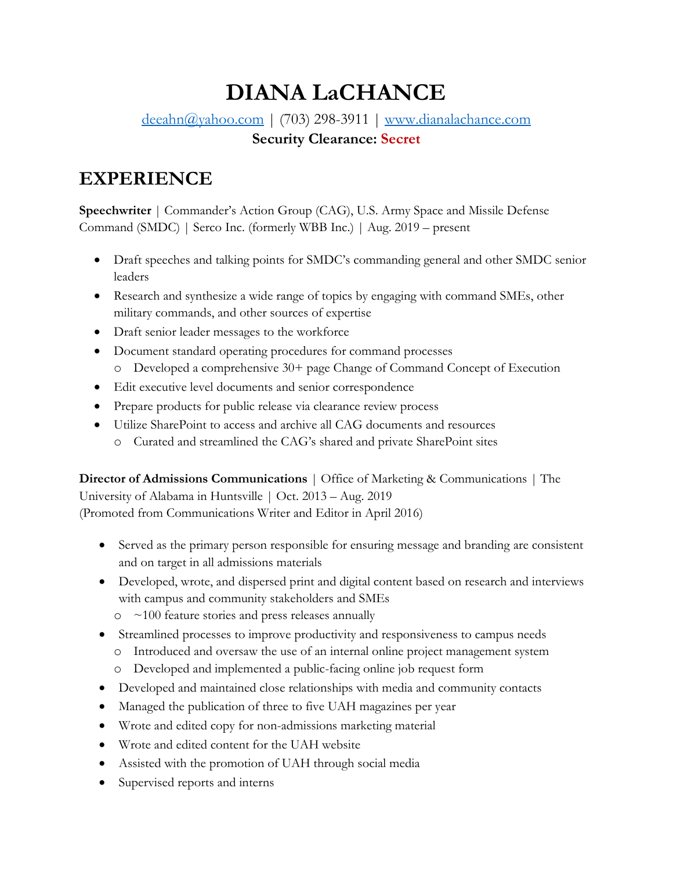# **DIANA LaCHANCE**

[deeahn@yahoo.com](mailto:deeahn@yahoo.com) | (703) 298-3911 | [www.dianalachance.com](http://www.dianalachance.com/) **Security Clearance: Secret**

# **EXPERIENCE**

**Speechwriter** | Commander's Action Group (CAG), U.S. Army Space and Missile Defense Command (SMDC) | Serco Inc. (formerly WBB Inc.) | Aug. 2019 – present

- Draft speeches and talking points for SMDC's commanding general and other SMDC senior leaders
- Research and synthesize a wide range of topics by engaging with command SMEs, other military commands, and other sources of expertise
- Draft senior leader messages to the workforce
- Document standard operating procedures for command processes
	- o Developed a comprehensive 30+ page Change of Command Concept of Execution
- Edit executive level documents and senior correspondence
- Prepare products for public release via clearance review process
- Utilize SharePoint to access and archive all CAG documents and resources
	- o Curated and streamlined the CAG's shared and private SharePoint sites

**Director of Admissions Communications** | Office of Marketing & Communications | The University of Alabama in Huntsville | Oct. 2013 – Aug. 2019 (Promoted from Communications Writer and Editor in April 2016)

- Served as the primary person responsible for ensuring message and branding are consistent and on target in all admissions materials
- Developed, wrote, and dispersed print and digital content based on research and interviews with campus and community stakeholders and SMEs
	- $\circ$  ~100 feature stories and press releases annually
- Streamlined processes to improve productivity and responsiveness to campus needs
	- o Introduced and oversaw the use of an internal online project management system
	- o Developed and implemented a public-facing online job request form
- Developed and maintained close relationships with media and community contacts
- Managed the publication of three to five UAH magazines per year
- Wrote and edited copy for non-admissions marketing material
- Wrote and edited content for the UAH website
- Assisted with the promotion of UAH through social media
- Supervised reports and interns